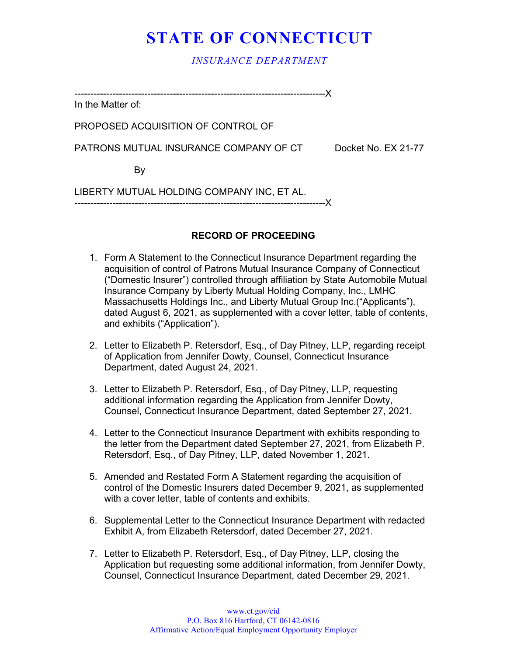## **STATE OF CONNECTICUT**

*INSURANCE DEPARTMENT*

In the Matter of:

PROPOSED ACQUISITION OF CONTROL OF

PATRONS MUTUAL INSURANCE COMPANY OF CT Docket No. EX 21-77

By

LIBERTY MUTUAL HOLDING COMPANY INC, ET AL. -------------------------------------------------------------------------------X

-------------------------------------------------------------------------------X

## **RECORD OF PROCEEDING**

- 1. Form A Statement to the Connecticut Insurance Department regarding the acquisition of control of Patrons Mutual Insurance Company of Connecticut ("Domestic Insurer") controlled through affiliation by State Automobile Mutual Insurance Company by Liberty Mutual Holding Company, Inc., LMHC Massachusetts Holdings Inc., and Liberty Mutual Group Inc.("Applicants"), dated August 6, 2021, as supplemented with a cover letter, table of contents, and exhibits ("Application").
- 2. Letter to Elizabeth P. Retersdorf, Esq., of Day Pitney, LLP, regarding receipt of Application from Jennifer Dowty, Counsel, Connecticut Insurance Department, dated August 24, 2021.
- 3. Letter to Elizabeth P. Retersdorf, Esq., of Day Pitney, LLP, requesting additional information regarding the Application from Jennifer Dowty, Counsel, Connecticut Insurance Department, dated September 27, 2021.
- 4. Letter to the Connecticut Insurance Department with exhibits responding to the letter from the Department dated September 27, 2021, from Elizabeth P. Retersdorf, Esq., of Day Pitney, LLP, dated November 1, 2021.
- 5. Amended and Restated Form A Statement regarding the acquisition of control of the Domestic Insurers dated December 9, 2021, as supplemented with a cover letter, table of contents and exhibits.
- 6. Supplemental Letter to the Connecticut Insurance Department with redacted Exhibit A, from Elizabeth Retersdorf, dated December 27, 2021.
- 7. Letter to Elizabeth P. Retersdorf, Esq., of Day Pitney, LLP, closing the Application but requesting some additional information, from Jennifer Dowty, Counsel, Connecticut Insurance Department, dated December 29, 2021.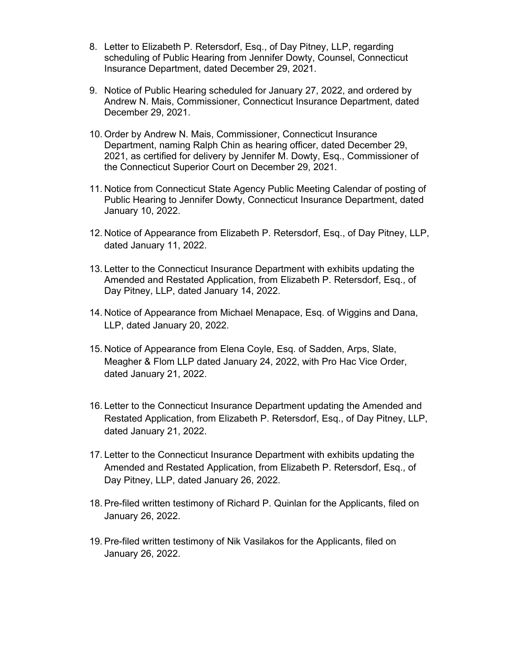- 8. Letter to Elizabeth P. Retersdorf, Esq., of Day Pitney, LLP, regarding scheduling of Public Hearing from Jennifer Dowty, Counsel, Connecticut Insurance Department, dated December 29, 2021.
- 9. Notice of Public Hearing scheduled for January 27, 2022, and ordered by Andrew N. Mais, Commissioner, Connecticut Insurance Department, dated December 29, 2021.
- 10. Order by Andrew N. Mais, Commissioner, Connecticut Insurance Department, naming Ralph Chin as hearing officer, dated December 29, 2021, as certified for delivery by Jennifer M. Dowty, Esq., Commissioner of the Connecticut Superior Court on December 29, 2021.
- 11. Notice from Connecticut State Agency Public Meeting Calendar of posting of Public Hearing to Jennifer Dowty, Connecticut Insurance Department, dated January 10, 2022.
- 12. Notice of Appearance from Elizabeth P. Retersdorf, Esq., of Day Pitney, LLP, dated January 11, 2022.
- 13. Letter to the Connecticut Insurance Department with exhibits updating the Amended and Restated Application, from Elizabeth P. Retersdorf, Esq., of Day Pitney, LLP, dated January 14, 2022.
- 14. Notice of Appearance from Michael Menapace, Esq. of Wiggins and Dana, LLP, dated January 20, 2022.
- 15. Notice of Appearance from Elena Coyle, Esq. of Sadden, Arps, Slate, Meagher & Flom LLP dated January 24, 2022, with Pro Hac Vice Order, dated January 21, 2022.
- 16. Letter to the Connecticut Insurance Department updating the Amended and Restated Application, from Elizabeth P. Retersdorf, Esq., of Day Pitney, LLP, dated January 21, 2022.
- 17. Letter to the Connecticut Insurance Department with exhibits updating the Amended and Restated Application, from Elizabeth P. Retersdorf, Esq., of Day Pitney, LLP, dated January 26, 2022.
- 18. Pre-filed written testimony of Richard P. Quinlan for the Applicants, filed on January 26, 2022.
- 19. Pre-filed written testimony of Nik Vasilakos for the Applicants, filed on January 26, 2022.